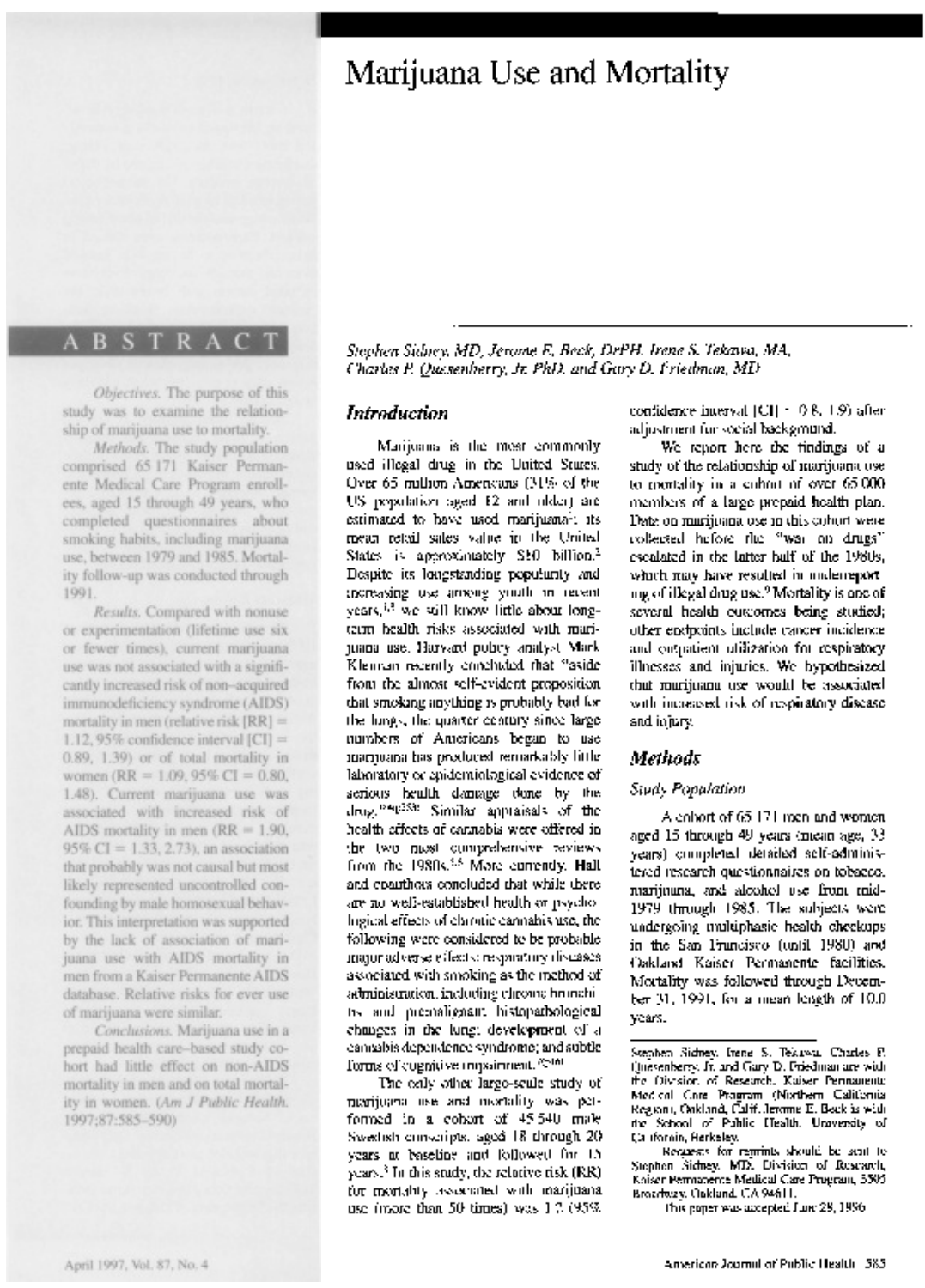# Marijuana Use and Mortality



1991.

juana use with AIDS mortality in<br>men from a Kaiser Permanente AIDS database. Relative risks for ever use of marijuana were similar.

hort had little effect on non-AIDS mortality in men and on total mortal-1997;87:585-590)

Stephen Sidney, MD, Jerome E. Beck, DrPH, Irene S. Tekawa, MA, Charles P Quesenberry, Jr; PhD, and Gary D. Friedman, MD

## Introduction

Marijuana is the most commonly used illegal drug in the United States. Over 65 million Americans (31% of the US population aged <sup>12</sup> and older) are estimated to have used marijuana'; its mean retail sales value in the United States is approximately \$10 billion.<sup>2</sup> Despite its longstanding popularity and increasing use among youth in recent years,<sup>13</sup> we still know little about longterm health risks associated with marijuana use. Harvard policy analyst Mark Kleiman recently concluded that "aside from the almost self-evident proposition that smoking anything is probably bad for the lungs, the quarter century since large numbers of Americans began to use marijuana has produced remarkably little laboratory or epidemiological evidence of serious health damage done by the drug."4(P253) Similar appraisals of the health effects of cannabis were offered in the two most comprehensive reviews from the 1980s.<sup>5.6</sup> More currently, Hall and coauthors concluded that while there are no well-established health or psychological effects of chronic cannabis use, the following were considered to be probable major adverse effects: respiratory diseases associated with smoking as the method of administration, including chronic bronchitis and premalignant histopathological changes in the lung; development of a cannabis dependence syndrome; and subtle forms of cognitive impairment.<sup>8(Pf6)</sup> Marrijuanna Use and Mortality<br>
Soylen Sider, MD Jensee F, Red, DrPH Innes X richna, MA,<br>
Charles High Sider, MD Jensee F, Red, DrPH Innes X richna, MA,<br>
Charles High Sider, WD Jensee F, Red, DrPH Innes X richna, MA<br>
Charl

The only other large-scale study of marijuana use and mortality was performed in a cohort of 45 540 male Swedish conscripts, aged 18 through 20 years at baseline and followed for 15 years.8 In this study, the relative risk (RR) for mortality associated with marijuana use (more than 50 times) was 1.2 (95% For the statistics will inadiplate. Because  $\frac{1}{2}$  (95%  $\frac{1}{2}$  Containst the paper was accepted Line 28, 1996

confidence interval [CI] = 0.8, 1.9) after adjustment for social background.

We report here the findings of a study of the relationship of marijuana use to mortality in a cohort of over 65 000 members of a large prepaid health plan. Data on marijuana use in this cohort were collected before the "war on drugs" escalated in the latter half of the 1980s, which may have resulted in underreporting of illegal drug use.9 Mortality is one of several health outcomes being studied; other endpoints include cancer incidence and outpatient utilization for respiratory illnesses and injuries. We hypothesized that marijuana use would be associated with increased risk of respiratory disease and injury.

## Methods

## Study Population

A cohort of <sup>65</sup> <sup>171</sup> men and women aged 15 through 49 years (mean age, 33 years) completed detailed self-administered research questionnaires on tobacco, marijuana, and alcohol use from mid-1979 through 1985. The subjects were undergoing multiphasic health checkups in the San Francisco (until 1980) and Oakland Kaiser Permanente facilities. Mortality was followed through December 31, 1991, for a mean length of 10.0 years.

Requests for reprints should be sent to Stephen Sidney, MD, Division of Research, Kaiser Permanente Medical Care Program, 3505 Broadway, Oakland, CA 94611.

This paper was accepted June 28, 1996.

Stephen Sidney, Irene S. Tekawa, Charles P. Quesenberry, Jr, and Gary D. Friedman are with the Division of Research, Kaiser Permanente Medical Care Program (Northern California Region), Oakland, Calif. Jerome E. Beck is with the School of Public Health, University of California, Berkeley.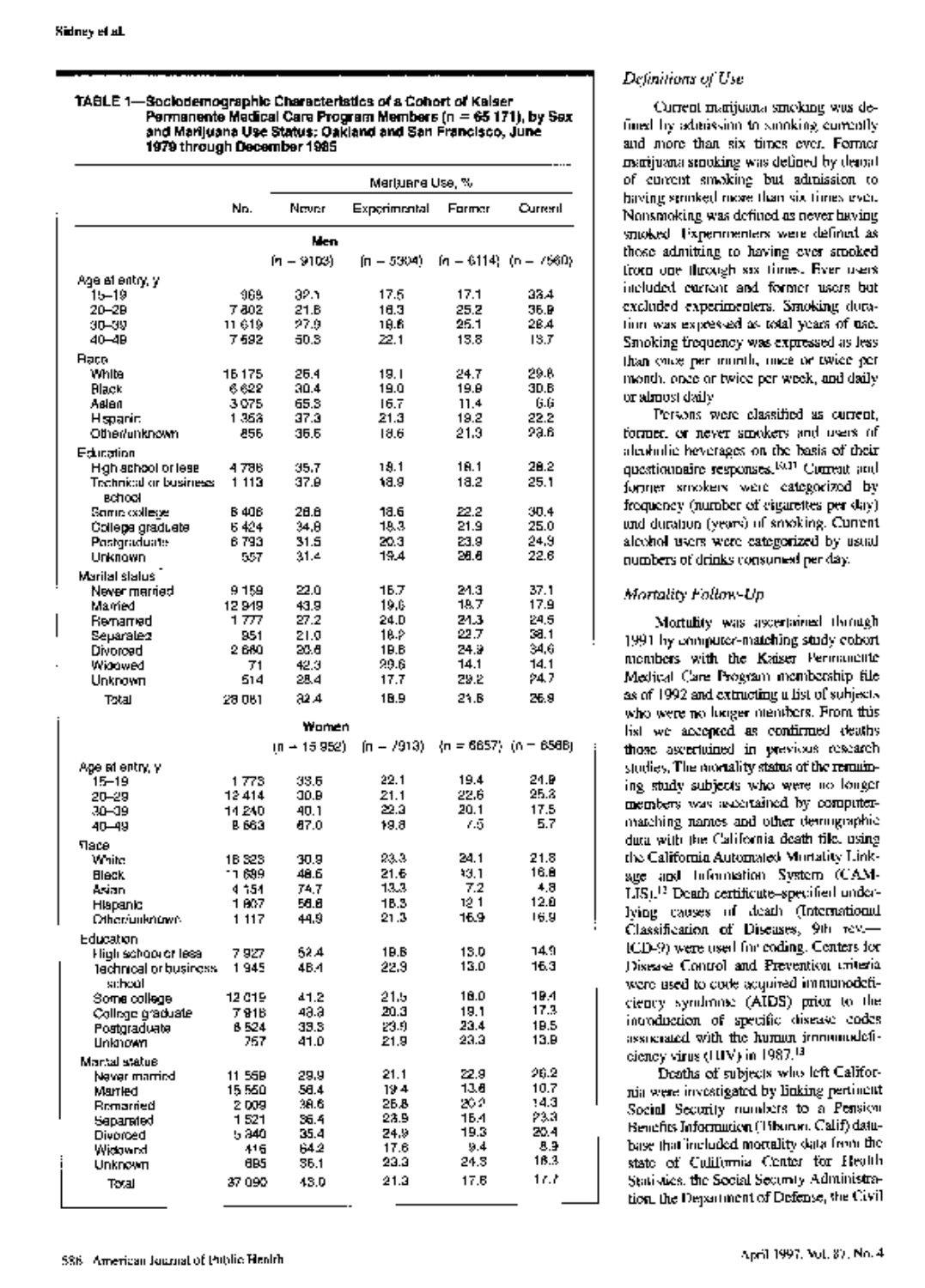#### TABLE 1-Sociodemographic Characteristics of a Cohort of Kaiser Permanente Medical Care Program Members (n = 65 171), by Sex and Marijuana Use Status: Oakland and San Francisco, June 1979 through December 1985

|                                   |                 | Merijuane Use, % |              |              |                           |  |  |
|-----------------------------------|-----------------|------------------|--------------|--------------|---------------------------|--|--|
|                                   | No.             | Never            | Experimental | Former       | Current                   |  |  |
|                                   |                 | Nen.             |              |              |                           |  |  |
|                                   |                 | (n – 9103).      | $(n = 5304)$ |              | $(n = 6114)$ $(n = 7560)$ |  |  |
| Age at entry, y                   |                 |                  |              |              |                           |  |  |
| 15–19<br>20-2B                    | 969.<br>7802    | 32.Y<br>21.B     | 17.5<br>16.3 | 17.1<br>25.2 | 33.4<br>36.P              |  |  |
| 30–39                             | 11 619          | 27.9             | 18.B         | 25.1         | 28.4                      |  |  |
| 40–49                             | 7592            | 50.3             | 22.1         | 13.8         | 13.7                      |  |  |
| <b>Hace</b>                       |                 |                  |              |              |                           |  |  |
| White                             | 15175           | 26.4             | 19. I        | 24.7         | 29.8                      |  |  |
| <b>Black</b>                      | 6628            | 30.4             | 19.0         | 19.B         | 3D.B                      |  |  |
| Aslan                             | 3075            | 65.3             | 16.7         | 11.4         | 6.G                       |  |  |
| H spanir:<br>Other/unknown        | 1.353<br>856    | 37.3<br>36.6     | 21.3<br>18.6 | 19.2<br>21.3 | 22.2<br>23.6              |  |  |
|                                   |                 |                  |              |              |                           |  |  |
| Education<br>High achool or less  | 4786            | 35.7             | 18.1         | 18.1         | 28.2                      |  |  |
| Technical or business.            | 1 113           | 37.B             | 18.9         | 18.2         | 25.1                      |  |  |
| BOTTOOH                           |                 |                  |              |              |                           |  |  |
| Some college                      | B 406           | 28.8             | 18.6         | 22.2         | 30.4                      |  |  |
| College graduate                  | 6424            | 34.B             | 18.3         | 21.9         | 25.0                      |  |  |
| Postgraduate                      | 6 793           | 31.5             | 20.3         | 23.9         | 24.9                      |  |  |
| Unknown                           | 557             | ≜.13             | 19.4         | 28.8         | 22.6                      |  |  |
| Marilal slalus.<br>Never married, | 9 159           | 22.0             | 16.7         | 24.3         | 37.1                      |  |  |
| Married                           | 12949           | 43.9             | 19.6         | 18.7         | 17.9                      |  |  |
| Remarred                          | 1777            | 27.2             | 24.D         | 24.3         | 24.5                      |  |  |
| Separatez                         | 951             | 21.0             | 18.2         | 22.7         | 38.1                      |  |  |
| Divorced                          | 2.680           | 20.8             | 19.B         | 24.9         | 34.6                      |  |  |
| Widowed                           | 71              | 42.3             | 29.6         | 14.1         | 14.1                      |  |  |
| Unknown                           | 514             | 28.4             | 17.7         | 29.2         | 24.7                      |  |  |
| Total                             | 28 061          | a2 4             | 18.9         | 21.B         | 26.9                      |  |  |
|                                   |                 | Women            |              |              |                           |  |  |
|                                   |                 | $(n + 15.952)$   | $(n - 7913)$ |              | $(n = 6657)$ $(n = 6566)$ |  |  |
| Age at entry, y                   |                 |                  |              |              |                           |  |  |
| 15-19                             | 1773            | 33.6             | 22.1         | 19.4         | 24.P                      |  |  |
| 20-29                             | 12414           | 30.B             | 21.1         | 22.6         | 25.3                      |  |  |
| 30-39                             | 14.240<br>B 663 | 40.1<br>87.0     | 22.3<br>19.8 | 20.1<br>7.5  | 17.5<br>5.7               |  |  |
| 40-49                             |                 |                  |              |              |                           |  |  |
| Пасе<br>White.                    | 18323           | 30.9             | 23.3         | 24.1         | 21.8                      |  |  |
| <b>Bleck</b>                      | ገ 699           | 48.6             | 21.6         | 43.T         | 16.8                      |  |  |
| Asiani                            | 4 154           | 74.7             | 13.3         | 7.2          | 4.8                       |  |  |
| Hispanic                          | 1807            | 58.B             | 18.3         | 12 1         | 12.D                      |  |  |
| Other/unknawr-                    | 1 117           | 44.9             | 21.3         | 16.9         | 16.9                      |  |  |
| Education                         |                 |                  |              |              |                           |  |  |
| High schoorer less                | 7 927           | 52.4             | 19.B         | 13.D         | 14.9                      |  |  |
| lechnical or business.            | 1945            | 4B.4             | 22.9         | 13.0         | 16.3                      |  |  |
| school<br>Soma collegel           | 12 C19          | 41.2             | 21.5         | 18.0         | 19.4                      |  |  |
| College graduate,                 | 791B            | 43.3             | 20.3         | 19.1         | 17.3                      |  |  |
| Postgraduate                      | 8524            | 33.3             | 23.9         | 23.4         | 19.5                      |  |  |
| Unknown                           | 757             | 41.0             | 21.9         | 23.3         | 13.B                      |  |  |
| Martal status                     |                 |                  |              |              |                           |  |  |
| Never married                     | 11 55B          | 29.9             | 21.1         | 22.9         | 26.2                      |  |  |
| Married                           | 15550           | 56.4             | 19.4<br>26.B | 13.8<br>200  | 10.7<br>14.3              |  |  |
| Romarried                         | 2 DO9<br>1521   | 38.6<br>56.4     | 23.9         | 15.4         | 23.A                      |  |  |
| Separated<br>Divorced             | 5340            | 35.4             | 24.9         | 19.3         | 20.4                      |  |  |
| Widowrd                           | 416             | 64.2             | 17.6         | 9.4          | 8.3                       |  |  |
| Unknown                           | 6195            | 36.1             | 23.3         | 24.3         | 16.3                      |  |  |
| Total                             | 37 090          | 43.D             | 21.3         | 17.6         | 17.7                      |  |  |
|                                   |                 |                  |              |              |                           |  |  |

## Definitions of Use

Current marijuana smoking was defined by admission to smoking currently and more than six times ever. Former marijuana smoking was defined by denial of current smoking but admission to having smoked more than six times ever. Nonsmoking was defined as never having smoked. Experimenters were defined as those admitting to having ever smoked from one through six times. Ever users included current and former users but excluded experimenters. Smoking duration was expressed as total years of use. Smoking frequency was expressed as less than once per month, once or twice per month, once or twice per week, and daily or almost daily.

Persons were classified as current, former, or never smokers and users of alcoholic beverages on the basis of their questionnaire responses.<sup>10,11</sup> Current and former smokers were categorized by frequency (number of cigarettes per day) and duration (years) of smoking. Current alcohol users were categorized by usual numbers of drinks consumed per day.

## Mortality Follow-Up

Mortality was ascertained through 1991 by computer-matching study cohort members with the Kaiser Permanente Medical Care Program membership file as of 1992 and extracting a list of subjects who were no longer members. From this list we accepted as confirmed deaths those ascertained in previous research studies. The mortality status of the remaining study subjects who were no longer members was ascertained by computermatching names and other demographic data with the California death file, using the California Automated Mortality Linkage and Information System (CAM-LIS).'2 Death certificate-specified underlying causes of death (International Classification of Diseases, 9th rev.-ICD-9) were used for coding. Centers for Disease Control and Prevention criteria were used to code acquired immunodeficiency syndrome (AIDS) prior to the introduction of specific disease codes associated with the human immunodeficiency virus (HIV) in 1987.13

Deaths of subjects who left California were investigated by linking pertinent Social Security numbers to a Pension Benefits Information (Tiburon, Calit) database that included mortality data from the state of California Center for Health Statistics, the Social Security Administration, the Department of Defense, the Civil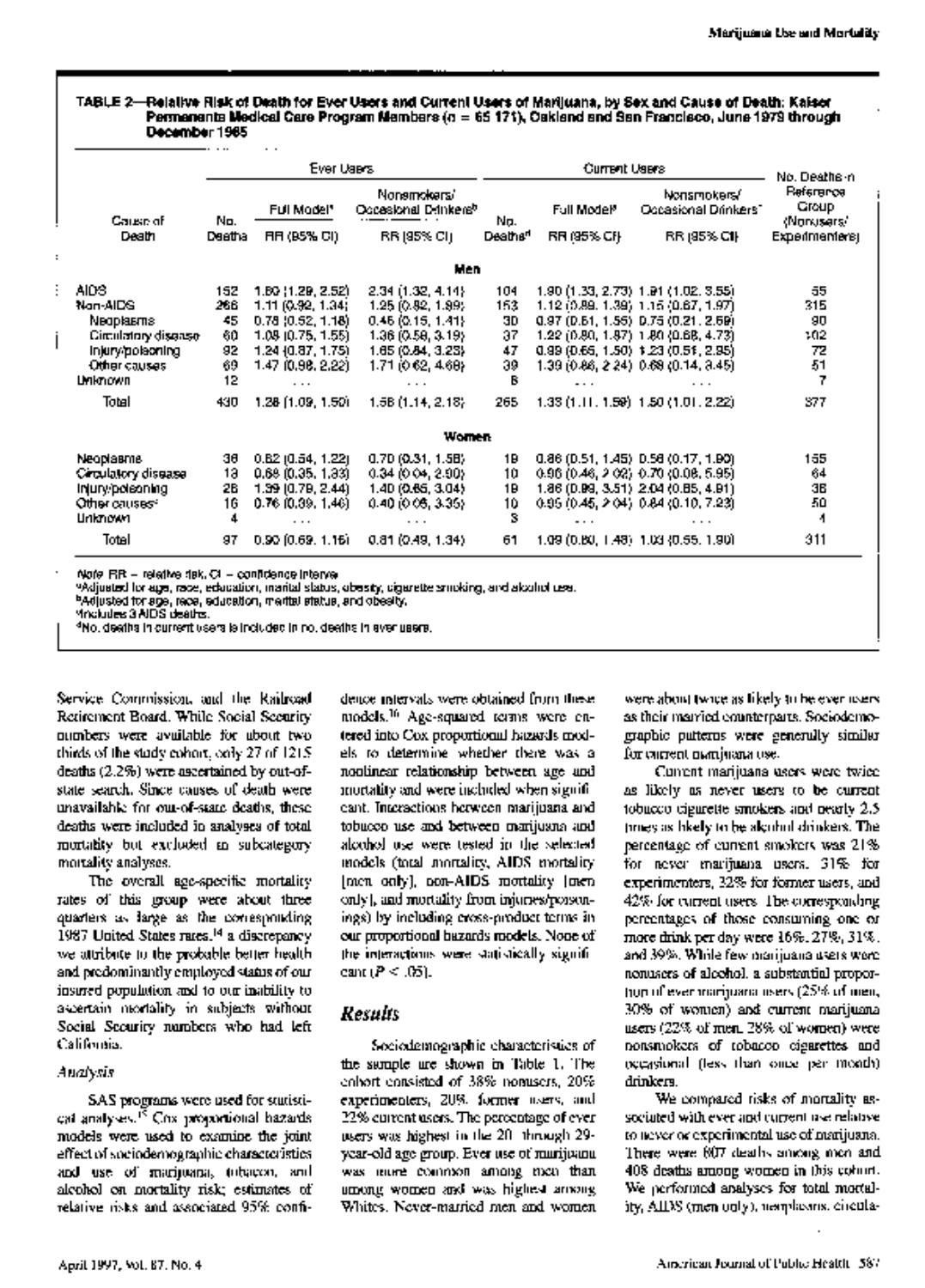#### TABLE 2-Relative Risk of Death for Ever Users and Current Users of Marijuana, by Sex and Cause of Death: Kaiser Permanente Medical Care Program Members (n = 65 171), Oakland and San Francisco, June 1979 through December 1985

|                      |        | Ever Users            |                                                 | Current Users       |                         |                                            | No. Deaths in                           |
|----------------------|--------|-----------------------|-------------------------------------------------|---------------------|-------------------------|--------------------------------------------|-----------------------------------------|
| Cause of             | No.    | Full Model"           | Nonsmokers/<br>Occasional Drinkers <sup>b</sup> | No.                 | Full Model <sup>9</sup> | Nonsmokers/<br>Occasional Drinkers"        | <b>Reference</b><br>Group<br>(Norwsers) |
| Death                | Deetha | <b>FIFI (B5% CI)</b>  | RR (95% CI)                                     | Deaths <sup>n</sup> | RR (95% CF)             | RR (95% CI)                                | Experimenters                           |
|                      |        |                       |                                                 |                     |                         |                                            |                                         |
|                      |        |                       | Men                                             |                     |                         |                                            |                                         |
| AIDS.                | 152    | 1.89 (1.29, 2.52)     | $2.34$ (1.32, 4.14)                             | 104                 |                         | 1.90 (1.33, 2.73) 1.91 (1.02, 3.55)        | 55                                      |
| Non-AIDS             | 286    | 1.11 (0.92, 1.34)     | 1.25 (0.82, 1.89).                              | 153                 |                         | 1.12 (0.89, 1.39) 1.15 (0.67, 1.97)        | 315                                     |
| <b>Мворіавть</b>     | 45.    | $0.78$ $(0.52, 1.18)$ | $0.46$ (0.15, 1.41)                             | 30                  |                         | 0.97 (0.51, 1.56) 0.75 (0.21, 2.69)        | 90                                      |
| Circulatory disease. | 60     | 1.08(0.75, 1.55)      | 1.36 (0.58, 3.19)                               | 37                  |                         | 1.22 (0.80, 1.87) 1.80 (0.68, 4.73)        | 102                                     |
| injury polaoning     | 92     | 1.24 (0.87, 1.75)     | 1.65 (0.84, 3.23).                              | 47                  |                         | $0.99(0.66, 1.50)$ $\pm$ 23 $(0.51, 2.95)$ | 72                                      |
| Other causes         | 69     | 1.47 (0.98, 2.22)     | 1.71 (0 62, 4 68).                              | 39                  |                         | 1.39 (0.86, 2.24) 0.68 (0.14, 3.45)        | 51                                      |
| <b>Unknown</b>       | 12     | .                     | .                                               | в                   |                         |                                            | 7                                       |
| Totel                | 430    | 1.28 (1.09, 1.50).    | 1.5B(1.14, 2.18)                                | 265                 |                         | 1.33 (1.11, 1.59) 1.50 (1.01, 2.22)        | 377                                     |
|                      |        |                       | <b>Women</b>                                    |                     |                         |                                            |                                         |
| Neoplasma            | 36     | $0.82$ (0.54, 1.22)   | 0.70(0.31, 1.5B)                                | 19                  |                         | 0.86(0.51, 1.45) 0.56(0.17, 1.90)          | 155                                     |
| Circulatory disease  | 13     | 0.69(0.35, 1.33)      | 0.34(0.04, 2.90)                                | 10                  |                         | $0.96(0.46, 2.02)$ $0.70(0.08, 5.95)$      | 64                                      |
| injury/poleoning     | 26     | 1.39 (0.79, 2.44)     | 1.40 (0.65, 3.04)                               | 19                  |                         | 1.86 (0.98, 3.51) 2.04 (0.85, 4.91)        | 36                                      |
| Other causes:"       | 16     | 0.76(0.39, 1.46)      | 0.40(0.05, 3.35)                                | 10                  |                         | 0.95(0.45, 2.04) 0.84(0.10, 7.23)          | 50                                      |
| Unknown              | 4      | .                     | $\cdots$                                        | з                   |                         | .                                          | 4                                       |
| Total                | 97     | 0.90(0.69, 1.16)      | 0.81(0.49, 1.34)                                | 61                  |                         | 1.09 (0.80, 1.48) 1.03 (0.55, 1.90).       | 311                                     |

Note.  $RR =$  relative risk,  $Cl =$  confidence interval.

aAdjusted for age, race, education, marital status, obesity, cigarette smoking, and alcohol use.

bAdjusted for age, race, education, marital status, and obesity. Clncludes 3 AIDS deaths.

dNo. deaths in current users is included in no. deaths in ever users.

Service Commission, and the Railroad Retirement Board. While Social Security numbers were available for about two thirds of the study cohort, only 27 of 1215 deaths (2.2%) were ascertained by out-ofstate search. Since causes of death were unavailable for out-of-state deaths, these deaths were included in analyses of total mortality but excluded in subcategory mortality analyses.

The overall age-specific mortality rates of this group were about three quarters as large as the corresponding 1987 United States rates,14 a discrepancy we attribute to the probable better health and predominantly employed status of our insured population and to our inability to ascertain mortality in subjects without Social Security numbers who had left California.

#### Analysis

SAS programs were used for statistical analyses.<sup>15</sup> Cox proportional hazards models were used to examine the joint effect of sociodemographic characteristics and use of marijuana, tobacco, and alcohol on mortality risk; estimates of relative risks and associated 95% confi-

dence intervals were obtained from these models.'6 Age-squared terms were entered into Cox proportional hazards models to determine whether there was a nonlinear relationship between age and mortality and were included when significant. Interactions between marijuana and tobacco use and between marijuana and alcohol use were tested in the selected models (total mortality, AIDS mortality [men only], non-AIDS mortality [men] only], and mortality from injuries/poisonings) by including cross-product terms in our proportional hazards models. None of the interactions were statistically significant  $(P \leq .05)$ .

## Results

Sociodemographic characteristics of the sample are shown in Table 1. The cohort consisted of 38% nonusers, 20% experimenters, 20% former users, and 22% current users. The percentage of ever users was highest in the 20- through 29 year-old age group. Ever use of marijuana was more common among men than among women and was highest among Whites. Never-married men and women

were about twice as likely to be ever users as their married counterparts. Sociodemographic pattems were generally similar for current marijuana use.

Current marijuana users were twice as likely as never users to be current tobacco cigarette smokers and nearly 2.5 times as likely to be alcohol drinkers. The percentage of current smokers was 21% for never marijuana users, 31% for experimenters, 32% for former users, and 42% for current users. The corresponding percentages of those consuming one or more drink per day were 16%, 27%, 31%, and 39%. While few marijuana users were nonusers of alcohol, a substantial proportion of ever marijuana users (25% of men, 30% of women) and current marijuana users (22% of men, 28% of women) were nonsmokers of tobacco cigarettes and occasional (less than once per month) drinkers.

We compared risks of mortality associated with ever and current use relative to never or experimental use of marijuana. There were 807 deaths among men and 408 deaths among women in this cohort. We performed analyses for total mortality, AIDS (men only), neoplasms, circula-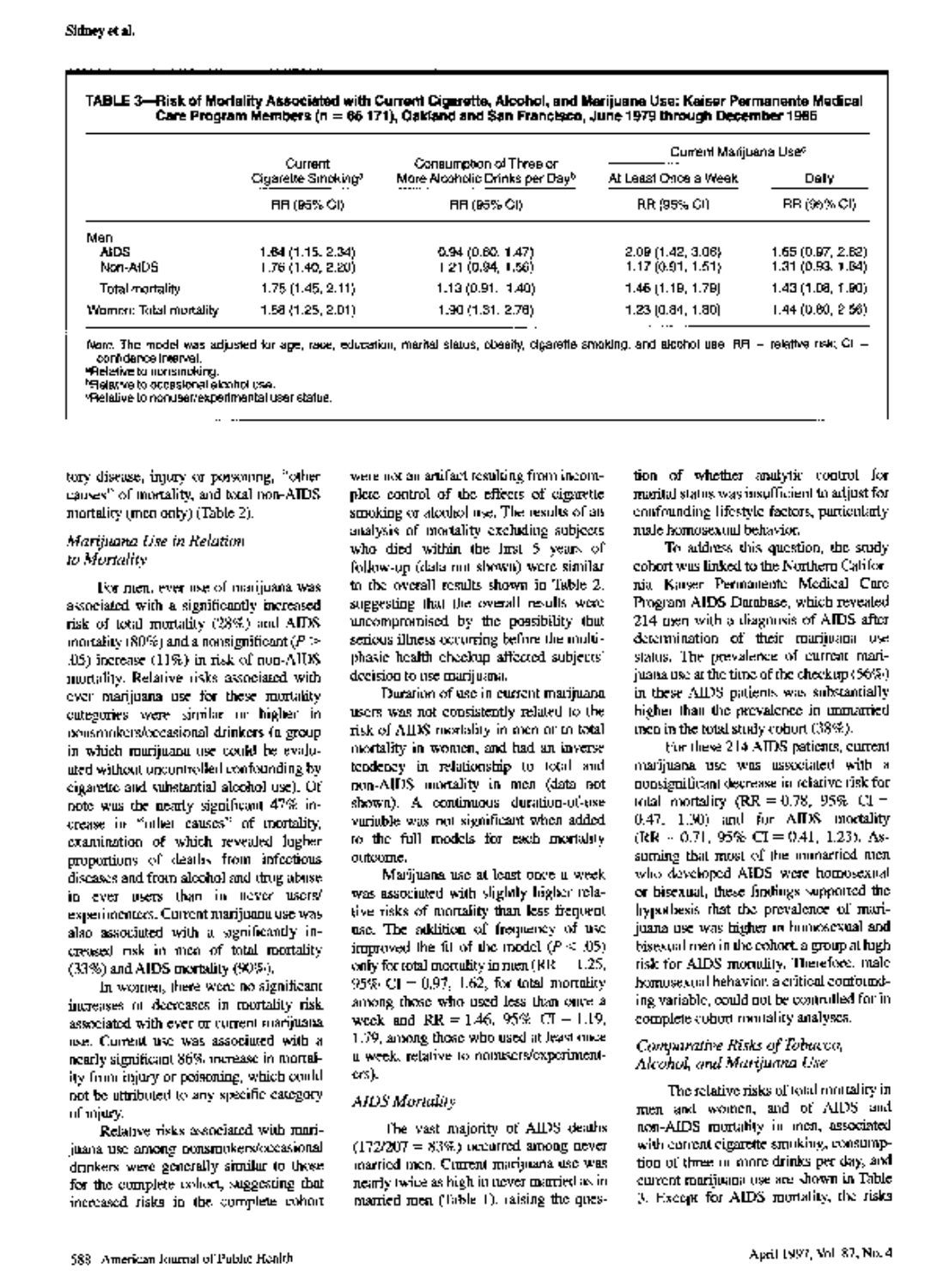|                        | Current<br>Cigarette Sinoking?<br><b>RR (B5% CI)</b> | Consumption of Three on        | Current Marijuana Use <sup>c</sup> |                      |  |
|------------------------|------------------------------------------------------|--------------------------------|------------------------------------|----------------------|--|
|                        |                                                      | More Alcoholic Drinks per Dayb | At Least Once a Week               | Daly<br>BB (96% CI). |  |
|                        |                                                      | <b>RR (B5% CI)</b>             | RR (95% GI)                        |                      |  |
| Men                    |                                                      |                                |                                    |                      |  |
| <b>AIDS</b>            | 1.84 (1.15, 2.34)                                    | 0.94 (0.60, 1.47)              | 2.09 (1.42, 3.06)                  | 1.65(0.97, 2.62)     |  |
| Non-AIDS               | 1.76 (1.40, 2.20).                                   | 1 21 (0.94, 1.56).             | 1.17(0.91, 1.51)                   | 1.31 (0.93, 1.84).   |  |
| Total mortality        | 1.75 (1.45, 2.11).                                   | 1.13 (0.91, 1.40)              | 1.46 (1.19, 1.79)                  | 1.43 (1.08, 1.90).   |  |
| Women: Total mortality | 1.58 (1.25, 2.01)                                    | 1.90 (1.31, 2.76)              | 1.23 (0.84, 1.80)                  | 1.44(0.80, 2.56)     |  |

Note. The model was adjusted for age, race, education, marital status, obeaity, cigarette smoking, and alcohol use. RR = relative risk; Cl = confidence interval.

aRelative to nonsmoking.

bRelative to occasional alcohol use. CRelative to nonuser/experimental user status.

tory disease, injury or poisoning, "other causes" of mortality, and total non-AIDS mortality (men only) (Table 2).

### Marijuana Use in Relation to Mortality

For men, ever use of marijuana was associated with a significantly increased risk of total mortality (28%) and AIDS mortality (80%) and a nonsignificant  $(P \geq$ .05) increase (11%) in risk of non-AIDS mortality. Relative risks associated with ever marijuana use for these mortality categories were similar or higher in nonsmokers/occasional drinkers (a group in which marijuana use could be evaluated without uncontrolled confounding by cigarette and substantial alcohol use). Of note was the nearly significant 47% increase in "other causes" of mortality, examination of which revealed higher proportions of deaths from infectious diseases and from alcohol and drug abuse in ever users than in never users/ experimenters. Current marijuana use was also associated with a significantly increased risk in men of total mortality (33%) and AIDS mortality (90%).

In women, there were no significant increases or decreases in mortality risk associated with ever or current marijuana use. Current use was associated with a nearly significant 86% increase in mortality from injury or poisoning, which could not be attributed to any specific category of injury.

Relative risks associated with marijuana use among nonsmokers/occasional drinkers were generally similar to those for the complete cohort, suggesting that increased risks in the complete cohort

were not an artifact resulting from incomplete control of the effects of cigarette smoking or alcohol use. The results of an analysis of mortality excluding subjects who died within the first <sup>5</sup> years of follow-up (data not shown) were similar to the overall results shown in Table 2, suggesting that the overall results were uncompromised by the possibility that serious illness occurring before the multiphasic health checkup affected subjects' decision to use marijuana.

Duration of use in current marijuana users was not consistently related to the risk of AIDS mortality in men or to total mortality in women, and had an inverse tendency in relationship to total and non-AIDS mortality in men (data not shown). A continuous duration-of-use variable was not significant when added to the full models for each mortality outcome.

Marijuana use at least once a week was associated with slightly higher relative risks of mortality than less frequent use. The addition of frequency of use improved the fit of the model  $(P \le .05)$ only for total mortality in men  $(RR = 1.25)$ ,  $95\%$  CI = 0.97, 1.62, for total mortality among those who used less than once a week and RR =  $1.46$ , 95% CI = 1.19, 1.79, among those who used at least once a week, relative to nonusers/experimenters).

## AIDS Mortality

The vast majority of AIDS deaths  $(172/207 = 83%$ ) occurred among never married men. Current marijuana use was nearly twice as high in never married as in married men (Table 1), raising the ques-

tion of whether analytic control for marital status was insufficient to adjust for confounding lifestyle factors, particularly male homosexual behavior.

To address this question, the study cohort was linked to the Northem California Kaiser Permanente Medical Care Program AIDS Database, which revealed 214 men with a diagnosis of AIDS after determination of their marijuana use status. The prevalence of current marijuana use at the time of the checkup (56%) in these AIDS patients was substantially higher than the prevalence in unmarried men in the total study cohort (38%).

For these 214 AIDS patients, current marijuana use was associated with a nonsignificant decrease in relative risk for total mortality  $(RR = 0.78, 95%$  Cl = 0.47, 1.30) and for AIDS mortality (RR  $\sim$  0.71, 95% CI = 0.41, 1.23). Assuming that most of the unmarried men who developed AIDS were homosexual or bisexual, these findings supported the hypothesis that the prevalence of marijuana use was higher in homosexual and bisexual men in the cohort, a group at high risk for AIDS mortality. Therefore, male homosexual behavior, a critical confounding variable, could not be controlled for in complete cohort mortality analyses.

#### Comparative Risks of Tobacco, Alcohol, and Marijuana Use

The relative risks of total mortality in men and women, and of AIDS and non-AIDS mortality in men, associated with current cigarette smoking, consumption of three or more drinks per day, and current marijuana use are shown in Table 3. Except for AIDS mortality, the risks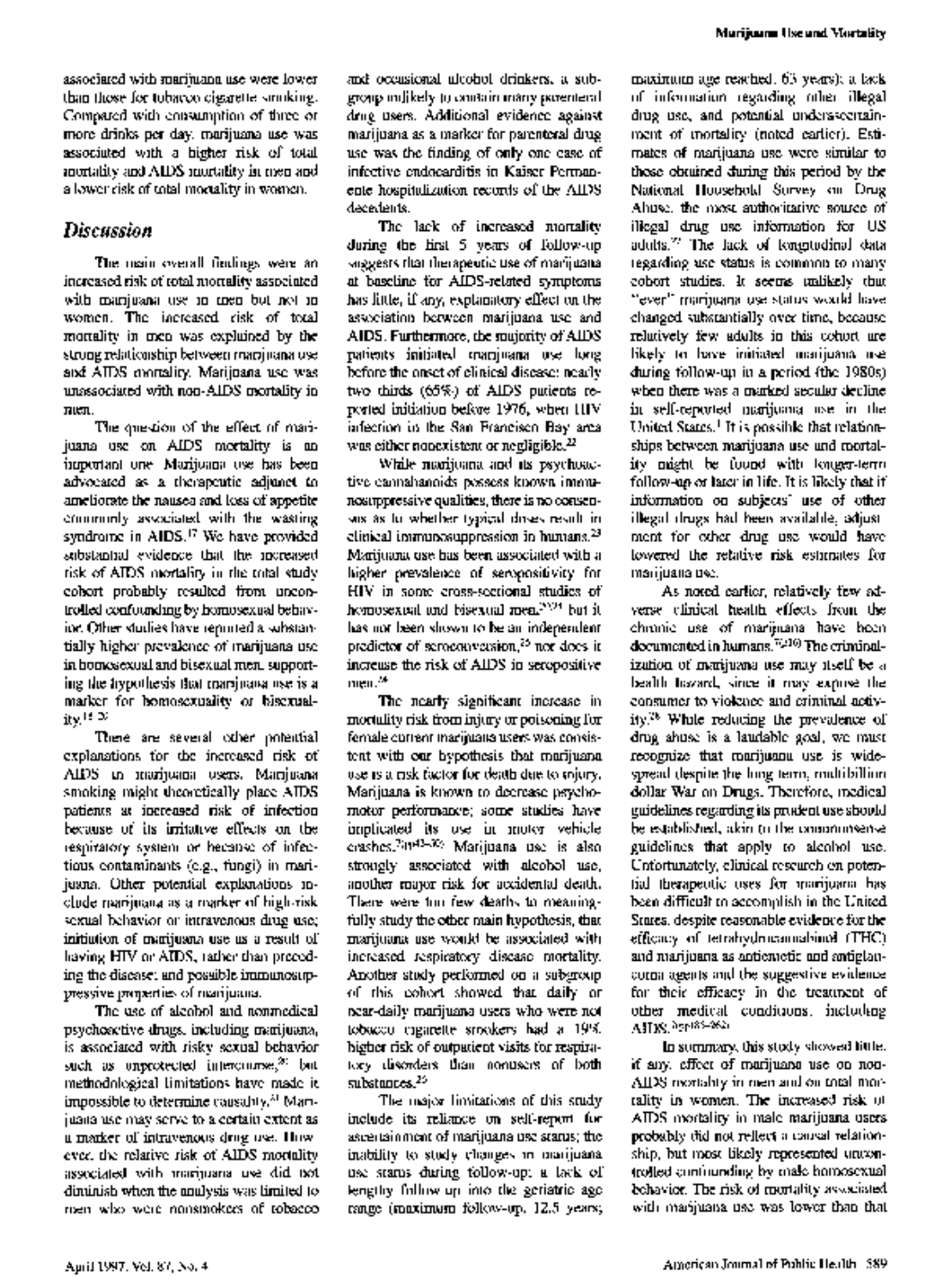associated with marijuana use were lower than those for tobacco cigarette smoking. Compared with consumption of three or more drinks per day, marijuana use was associated with a higher risk of total mortality and AIDS mortality in men and a lower risk of total mortality in women.

## Discussion

The main overall findings were an increased risk of total mortality associated with marijuana use in men but not in women. The increased risk of total mortality in men was explained by the strong relationship between marijuana use and AIDS mortality. Marijuana use was unassociated with non-AIDS mortality in men.

The question of the effect of marijuana use on AIDS mortality is an important one. Marijuana use has been advocated as a therapeutic adjunct to ameliorate the nausea and loss of appetite commonly associated with the wasting syndrome in AIDS.<sup>17</sup> We have provided substantial evidence that the increased risk of AIDS mortality in the total study cohort probably resulted from uncontrolled confounding by homosexual behavior. Other studies have reported a substantially higher prevalence of marijuana use in homosexual and bisexual men, supporting the hypothesis that marijuana use is a marker for homosexuality or bisexuality.<sup>18</sup> $20$ 

There are several other potential explanations for the increased risk of AIDS in marijuana users. Marijuana smoking might theoretically place AIDS. patients at increased risk of infection because of its irritative effects on the respiratory system or because of infectious contaminants (e.g., fungi) in marijuana. Other potential explanations include marijuana as a marker of high-risk sexual behavior or intravenous drug use; initiation of marijuana use as a result of having HIV or AIDS, rather than preceding the disease; and possible immunosuppressive properties of marijuana.

The use of alcohol and nonmedical psychoactive drugs, including marijuana, is associated with risky sexual behavior such as unprotected intercourse,<sup>20</sup> but methodological limitations have made it impossible to determine causality.<sup>21</sup> Marijuana use may serve to a certain extent as a marker of intravenous drug use. However, the relative risk of AIDS mortality associated with marijuana use did not diminish when the analysis was limited to men who were nonsmokers of tobacco and occasional alcohol drinkers, a subgroup unlikely to contain many parenteral drug users. Additional evidence against marijuana as a marker for parenteral drug use was the finding of only one case of infective endocarditis in Kaiser Permanente hospitalization records of the AIDS decedents.

The lack of increased mortality during the first 5 years of follow-up suggests that therapeutic use of marijuana at baseline for AIDS-related symptoms has little, if any, explanatory effect on the association between marijuana use and AIDS. Furthermore, the majority of AIDS patients initiated marijuana use long before the onset of clinical disease; nearly two thirds (65%) of AIDS patients reported initiation before 1976, when HIV infection in the San Francisco Bay area was either nonexistent or negligible. $^{22}$ 

While marijuana and its psychoactive cannabanoids possess known immunosuppressive qualities, there is no consensus as to whether typical doses result in clinical immunosuppression in humans. $^{23}$ Marijuana use has been associated with a higher prevalence of seropositivity for HIV in some cross-sectional studies of homosexual and bisexual men,20'24 but it has not been shown to be an independent predictor of seroconversion,25 nor does it increase the risk of AIDS in seropositive men.24

The nearly significant increase in mortality risk from injury or poisoning for female current marijuana users was consistent with our hypothesis that marijuana use is a risk factor for death due to injury. Marijuana is known to decrease psychomotor performance; some studies have implicated its use in motor vehicle crashes.<sup>7(p43-30</sup>) Marijuana use is also strongly associated with alcohol use, another major risk for accidental death. There were too few deaths to meaningfully study the other main hypothesis, that marijuana use would be associated with increased respiratory disease mortality. Another study performed on a subgroup of this cohort showed that daily or near-daily marijuana users who were not tobacco cigarette smokers had a 19% higher risk of outpatient visits for respiratory disorders than nonusers of both substances.26

The major limitations of this study include its reliance on self-report for ascertainment of marijuana use status; the inability to study changes in marijuana use status during follow-up; a lack of lengthy follow-up into the geriatric age range (maximum follow-up, 12.5 years;

maximum age reached, 63 years); a lack of information regarding other illegal drug use; and potential underascertainment of mortality (noted earlier). Estimates of marijuana use were similar to those obtained during this period by the National Household Survey on Drug Abuse, the most authoritative source of illegal drug use information for US adults.27 The lack of longitudinal data regarding use status is common to many cohort studies. It seems unlikely that "ever" marijuana use status would have changed substantially over time, because relatively few adults in this cohort are likely to have initiated marijuana use during follow-up in a period (the 1980s) when there was a marked secular decline in self-reported marijuana use in the United States.' It is possible that relationships between marijuana use and mortality might be found with longer-term follow-up or later in life. It is likely that if information on subjects' use of other illegal drugs had been available, adjustment for other drug use would have lowered the relative risk estimates for marijuana use.

As noted earlier, relatively few adverse clinical health effects from the chronic use of marijuana have been documented in humans. $^{7(216)}$  The criminalization of marijuana use may itself be a health hazard, since it may expose the consumer to violence and criminal activity.<sup>28</sup> While reducing the prevalence of drug abuse is a laudable goal, we must recognize that marijuana use is widespread despite the long-term, multibilliondollar War on Drugs. Therefore, medical guidelines regarding its prudent use should be established, akin to the commonsense guidelines that apply to alcohol use. Unfortunately, clinical research on potential therapeutic uses for marijuana has been difficult to accomplish in the United States, despite reasonable evidence for the efficacy of tetrahydrocannabinol (THC) and marijuana as antiemetic and antiglaucoma agents and the suggestive evidence for their efficacy in the treatment of other medical conditions, including AIDS.<sup>2</sup>(PPI85-262)

In summary, this study showed little, if any, effect of marijuana use on non-AIDS mortality in men and on total mortality in women. The increased risk of AIDS mortality in male marijuana users probably did not reflect a causal relationship, but most likely represented uncontrolled confounding by male homosexual behavior. The risk of mortality associated with marijuana use was lower than that